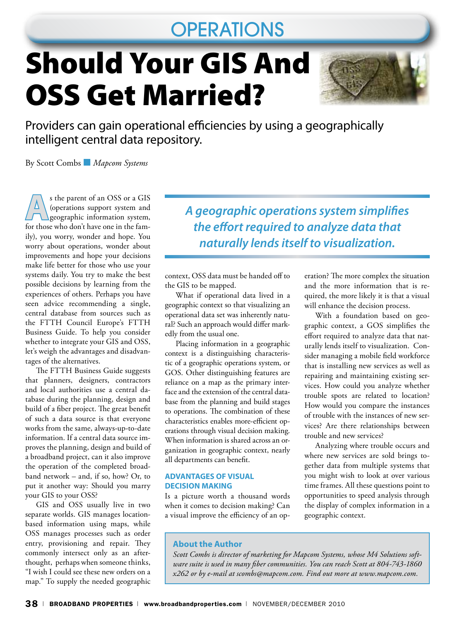# **OPERATIONS**

# Should Your GIS And OSS Get Married?



Providers can gain operational efficiencies by using a geographically intelligent central data repository.

By Scott Combs ■ *Mapcom Systems*

s the parent of an OSS or a GIS<br>
(operations support system and<br>
geographic information system,<br>
for those who don't have one in the form (operations support system and for those who don't have one in the family), you worry, wonder and hope. You worry about operations, wonder about improvements and hope your decisions make life better for those who use your systems daily. You try to make the best possible decisions by learning from the experiences of others. Perhaps you have seen advice recommending a single, central database from sources such as the FTTH Council Europe's FTTH Business Guide. To help you consider whether to integrate your GIS and OSS, let's weigh the advantages and disadvantages of the alternatives.

The FTTH Business Guide suggests that planners, designers, contractors and local authorities use a central database during the planning, design and build of a fiber project. The great benefit of such a data source is that everyone works from the same, always-up-to-date information. If a central data source improves the planning, design and build of a broadband project, can it also improve the operation of the completed broadband network – and, if so, how? Or, to put it another way: Should you marry your GIS to your OSS?

GIS and OSS usually live in two separate worlds. GIS manages locationbased information using maps, while OSS manages processes such as order entry, provisioning and repair. They commonly intersect only as an afterthought, perhaps when someone thinks, "I wish I could see these new orders on a map." To supply the needed geographic *A geographic operations system simplifies the effort required to analyze data that naturally lends itself to visualization.* 

context, OSS data must be handed off to the GIS to be mapped.

What if operational data lived in a geographic context so that visualizing an operational data set was inherently natural? Such an approach would differ markedly from the usual one.

Placing information in a geographic context is a distinguishing characteristic of a geographic operations system, or GOS. Other distinguishing features are reliance on a map as the primary interface and the extension of the central database from the planning and build stages to operations. The combination of these characteristics enables more-efficient operations through visual decision making. When information is shared across an organization in geographic context, nearly all departments can benefit.

#### **Advantages of Visual Decision Making**

Is a picture worth a thousand words when it comes to decision making? Can a visual improve the efficiency of an operation? The more complex the situation and the more information that is required, the more likely it is that a visual will enhance the decision process.

With a foundation based on geographic context, a GOS simplifies the effort required to analyze data that naturally lends itself to visualization. Consider managing a mobile field workforce that is installing new services as well as repairing and maintaining existing services. How could you analyze whether trouble spots are related to location? How would you compare the instances of trouble with the instances of new services? Are there relationships between trouble and new services?

Analyzing where trouble occurs and where new services are sold brings together data from multiple systems that you might wish to look at over various time frames. All these questions point to opportunities to speed analysis through the display of complex information in a geographic context.

### **About the Author**

*Scott Combs is director of marketing for Mapcom Systems, whose M4 Solutions software suite is used in many fiber communities. You can reach Scott at 804-743-1860 x262 or by e-mail at scombs@mapcom.com. Find out more at www.mapcom.com.*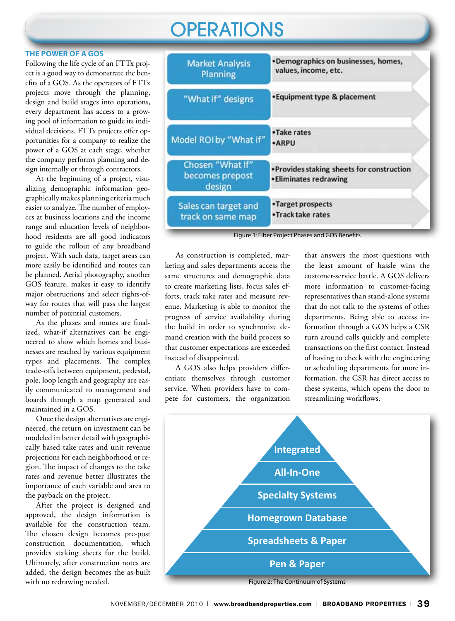# **OPERATIONS**

#### **The Power of a GOS**

Following the life cycle of an FTTx project is a good way to demonstrate the benefits of a GOS. As the operators of FTTx projects move through the planning, design and build stages into operations, every department has access to a growing pool of information to guide its individual decisions. FTTx projects offer opportunities for a company to realize the power of a GOS at each stage, whether the company performs planning and design internally or through contractors.

At the beginning of a project, visualizing demographic information geographically makes planning criteria much easier to analyze. The number of employees at business locations and the income range and education levels of neighborhood residents are all good indicators to guide the rollout of any broadband project. With such data, target areas can more easily be identified and routes can be planned. Aerial photography, another GOS feature, makes it easy to identify major obstructions and select rights-ofway for routes that will pass the largest number of potential customers.

As the phases and routes are finalized, what-if alternatives can be engineered to show which homes and businesses are reached by various equipment types and placements. The complex trade-offs between equipment, pedestal, pole, loop length and geography are easily communicated to management and boards through a map generated and maintained in a GOS.

Once the design alternatives are engineered, the return on investment can be modeled in better detail with geographically based take rates and unit revenue projections for each neighborhood or region. The impact of changes to the take rates and revenue better illustrates the importance of each variable and area to the payback on the project.

After the project is designed and approved, the design information is available for the construction team. The chosen design becomes pre-post construction documentation, which provides staking sheets for the build. Ultimately, after construction notes are added, the design becomes the as-built with no redrawing needed.



Figure 1: Fiber Project Phases and GOS Benefits

As construction is completed, marketing and sales departments access the same structures and demographic data to create marketing lists, focus sales efforts, track take rates and measure revenue. Marketing is able to monitor the progress of service availability during the build in order to synchronize demand creation with the build process so that customer expectations are exceeded instead of disappointed.

A GOS also helps providers differentiate themselves through customer service. When providers have to compete for customers, the organization that answers the most questions with the least amount of hassle wins the customer-service battle. A GOS delivers more information to customer-facing representatives than stand-alone systems that do not talk to the systems of other departments. Being able to access information through a GOS helps a CSR turn around calls quickly and complete transactions on the first contact. Instead of having to check with the engineering or scheduling departments for more information, the CSR has direct access to these systems, which opens the door to streamlining workflows.



Figure 2: The Continuum of Systems